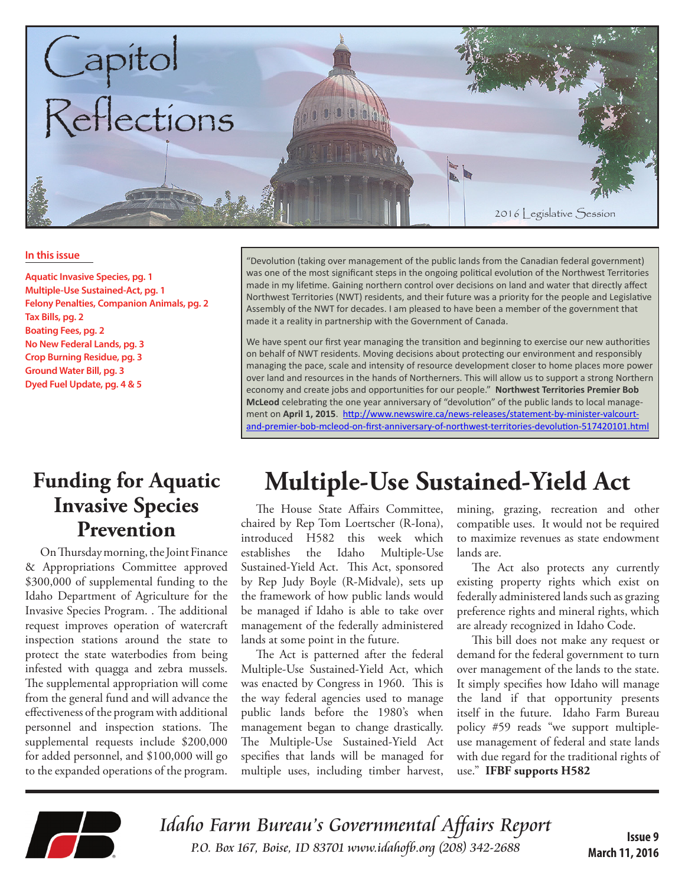

#### **In this issue**

**Aquatic Invasive Species, pg. 1 Multiple-Use Sustained-Act, pg. 1 Felony Penalties, Companion Animals, pg. 2 Tax Bills, pg. 2 Boating Fees, pg. 2 No New Federal Lands, pg. 3 Crop Burning Residue, pg. 3 Ground Water Bill, pg. 3 Dyed Fuel Update, pg. 4 & 5**

#### **Funding for Aquatic Invasive Species Prevention**

On Thursday morning, the Joint Finance & Appropriations Committee approved \$300,000 of supplemental funding to the Idaho Department of Agriculture for the Invasive Species Program. . The additional request improves operation of watercraft inspection stations around the state to protect the state waterbodies from being infested with quagga and zebra mussels. The supplemental appropriation will come from the general fund and will advance the effectiveness of the program with additional personnel and inspection stations. The supplemental requests include \$200,000 for added personnel, and \$100,000 will go to the expanded operations of the program. "Devolution (taking over management of the public lands from the Canadian federal government) was one of the most significant steps in the ongoing political evolution of the Northwest Territories made in my lifetime. Gaining northern control over decisions on land and water that directly affect Northwest Territories (NWT) residents, and their future was a priority for the people and Legislative Assembly of the NWT for decades. I am pleased to have been a member of the government that made it a reality in partnership with the Government of Canada.

We have spent our first year managing the transition and beginning to exercise our new authorities on behalf of NWT residents. Moving decisions about protecting our environment and responsibly managing the pace, scale and intensity of resource development closer to home places more power over land and resources in the hands of Northerners. This will allow us to support a strong Northern economy and create jobs and opportunities for our people." **Northwest Territories Premier Bob McLeod** celebrating the one year anniversary of "devolution" of the public lands to local management on **April 1, 2015**. http://www.newswire.ca/news-releases/statement-by-minister-valcourt[and-premier-bob-mcleod-on-first-anniversary-of-northwest-territories-devolution-517420101.html](http://www.newswire.ca/news-releases/statement-by-minister-valcourt-and-premier-bob-mcleod-on-first-anniversary-of-northwest-territories-devolution-517420101.html)

## **Multiple-Use Sustained-Yield Act**

The House State Affairs Committee, chaired by Rep Tom Loertscher (R-Iona), introduced H582 this week which establishes the Idaho Multiple-Use Sustained-Yield Act. This Act, sponsored by Rep Judy Boyle (R-Midvale), sets up the framework of how public lands would be managed if Idaho is able to take over management of the federally administered lands at some point in the future.

The Act is patterned after the federal Multiple-Use Sustained-Yield Act, which was enacted by Congress in 1960. This is the way federal agencies used to manage public lands before the 1980's when management began to change drastically. The Multiple-Use Sustained-Yield Act specifies that lands will be managed for multiple uses, including timber harvest,

mining, grazing, recreation and other compatible uses. It would not be required to maximize revenues as state endowment lands are.

The Act also protects any currently existing property rights which exist on federally administered lands such as grazing preference rights and mineral rights, which are already recognized in Idaho Code.

This bill does not make any request or demand for the federal government to turn over management of the lands to the state. It simply specifies how Idaho will manage the land if that opportunity presents itself in the future. Idaho Farm Bureau policy #59 reads "we support multipleuse management of federal and state lands with due regard for the traditional rights of use." **IFBF supports H582**



Idaho Farm Bureau's Governmental Affairs Report P.O. Box 167, Boise, ID 83701 www.idahofb.org (208) 342-2688 **Issue 9**

**March 11, 2016**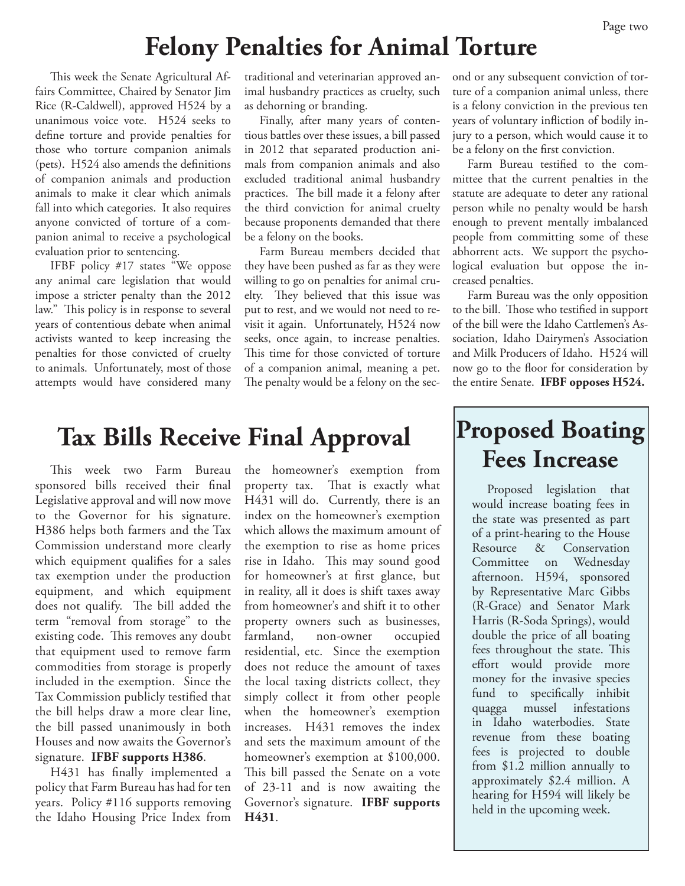### **Felony Penalties for Animal Torture**

This week the Senate Agricultural Affairs Committee, Chaired by Senator Jim Rice (R-Caldwell), approved H524 by a unanimous voice vote. H524 seeks to define torture and provide penalties for those who torture companion animals (pets). H524 also amends the definitions of companion animals and production animals to make it clear which animals fall into which categories. It also requires anyone convicted of torture of a companion animal to receive a psychological evaluation prior to sentencing.

IFBF policy #17 states "We oppose any animal care legislation that would impose a stricter penalty than the 2012 law." This policy is in response to several years of contentious debate when animal activists wanted to keep increasing the penalties for those convicted of cruelty to animals. Unfortunately, most of those attempts would have considered many

traditional and veterinarian approved animal husbandry practices as cruelty, such as dehorning or branding.

Finally, after many years of contentious battles over these issues, a bill passed in 2012 that separated production animals from companion animals and also excluded traditional animal husbandry practices. The bill made it a felony after the third conviction for animal cruelty because proponents demanded that there be a felony on the books.

Farm Bureau members decided that they have been pushed as far as they were willing to go on penalties for animal cruelty. They believed that this issue was put to rest, and we would not need to revisit it again. Unfortunately, H524 now seeks, once again, to increase penalties. This time for those convicted of torture of a companion animal, meaning a pet. The penalty would be a felony on the sec-

### **Tax Bills Receive Final Approval**

This week two Farm Bureau sponsored bills received their final Legislative approval and will now move to the Governor for his signature. H386 helps both farmers and the Tax Commission understand more clearly which equipment qualifies for a sales tax exemption under the production equipment, and which equipment does not qualify. The bill added the term "removal from storage" to the existing code. This removes any doubt that equipment used to remove farm commodities from storage is properly included in the exemption. Since the Tax Commission publicly testified that the bill helps draw a more clear line, the bill passed unanimously in both Houses and now awaits the Governor's signature. **IFBF supports H386**.

H431 has finally implemented a policy that Farm Bureau has had for ten years. Policy #116 supports removing the Idaho Housing Price Index from the homeowner's exemption from property tax. That is exactly what H431 will do. Currently, there is an index on the homeowner's exemption which allows the maximum amount of the exemption to rise as home prices rise in Idaho. This may sound good for homeowner's at first glance, but in reality, all it does is shift taxes away from homeowner's and shift it to other property owners such as businesses, farmland, non-owner occupied residential, etc. Since the exemption does not reduce the amount of taxes the local taxing districts collect, they simply collect it from other people when the homeowner's exemption increases. H431 removes the index and sets the maximum amount of the homeowner's exemption at \$100,000. This bill passed the Senate on a vote of 23-11 and is now awaiting the Governor's signature. **IFBF supports H431**.

ond or any subsequent conviction of torture of a companion animal unless, there is a felony conviction in the previous ten years of voluntary infliction of bodily injury to a person, which would cause it to be a felony on the first conviction.

Farm Bureau testified to the committee that the current penalties in the statute are adequate to deter any rational person while no penalty would be harsh enough to prevent mentally imbalanced people from committing some of these abhorrent acts. We support the psychological evaluation but oppose the increased penalties.

Farm Bureau was the only opposition to the bill. Those who testified in support of the bill were the Idaho Cattlemen's Association, Idaho Dairymen's Association and Milk Producers of Idaho. H524 will now go to the floor for consideration by the entire Senate. **IFBF opposes H524.**

### **Proposed Boating Fees Increase**

Proposed legislation that would increase boating fees in the state was presented as part of a print-hearing to the House Resource & Conservation Committee on Wednesday afternoon. H594, sponsored by Representative Marc Gibbs (R-Grace) and Senator Mark Harris (R-Soda Springs), would double the price of all boating fees throughout the state. This effort would provide more money for the invasive species fund to specifically inhibit quagga mussel infestations in Idaho waterbodies. State revenue from these boating fees is projected to double from \$1.2 million annually to approximately \$2.4 million. A hearing for H594 will likely be held in the upcoming week.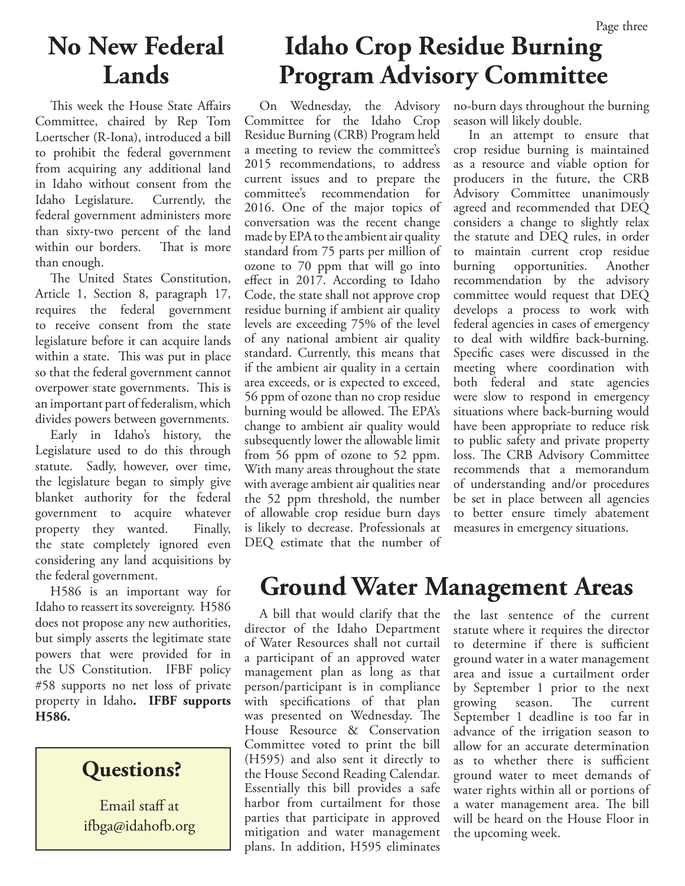### **No New Federal Lands**

This week the House State Affairs Committee, chaired by Rep Tom Loertscher (R-Iona), introduced a bill to prohibit the federal government from acquiring any additional land in Idaho without consent from the Idaho Legislature. Currently, the federal government administers more than sixty-two percent of the land within our borders. That is more than enough.

The United States Constitution, Article 1, Section 8, paragraph 17, requires the federal government to receive consent from the state legislature before it can acquire lands within a state. This was put in place so that the federal government cannot overpower state governments. This is an important part of federalism, which divides powers between governments.

Early in Idaho's history, the Legislature used to do this through statute. Sadly, however, over time, the legislature began to simply give blanket authority for the federal government to acquire whatever property they wanted. Finally, the state completely ignored even considering any land acquisitions by the federal government.

H586 is an important way for Idaho to reassert its sovereignty. H586 does not propose any new authorities, but simply asserts the legitimate state powers that were provided for in the US Constitution. IFBF policy #58 supports no net loss of private property in Idaho**. IFBF supports H586.**

### **Questions?**

Email staff at ifbga@idahofb.org

## **Idaho Crop Residue Burning Program Advisory Committee**

On Wednesday, the Advisory Committee for the Idaho Crop Residue Burning (CRB) Program held a meeting to review the committee's 2015 recommendations, to address current issues and to prepare the committee's recommendation for 2016. One of the major topics of conversation was the recent change made by EPA to the ambient air quality standard from 75 parts per million of ozone to 70 ppm that will go into effect in 2017. According to Idaho Code, the state shall not approve crop residue burning if ambient air quality levels are exceeding 75% of the level of any national ambient air quality standard. Currently, this means that if the ambient air quality in a certain area exceeds, or is expected to exceed, 56 ppm of ozone than no crop residue burning would be allowed. The EPA's change to ambient air quality would subsequently lower the allowable limit from 56 ppm of ozone to 52 ppm. With many areas throughout the state with average ambient air qualities near the 52 ppm threshold, the number of allowable crop residue burn days is likely to decrease. Professionals at DEQ estimate that the number of

no-burn days throughout the burning season will likely double.

In an attempt to ensure that crop residue burning is maintained as a resource and viable option for producers in the future, the CRB Advisory Committee unanimously agreed and recommended that DEQ considers a change to slightly relax the statute and DEQ rules, in order to maintain current crop residue burning opportunities. Another recommendation by the advisory committee would request that DEQ develops a process to work with federal agencies in cases of emergency to deal with wildfire back-burning. Specific cases were discussed in the meeting where coordination with both federal and state agencies were slow to respond in emergency situations where back-burning would have been appropriate to reduce risk to public safety and private property loss. The CRB Advisory Committee recommends that a memorandum of understanding and/or procedures be set in place between all agencies to better ensure timely abatement measures in emergency situations.

## **Ground Water Management Areas**

A bill that would clarify that the director of the Idaho Department of Water Resources shall not curtail a participant of an approved water management plan as long as that person/participant is in compliance with specifications of that plan was presented on Wednesday. The House Resource & Conservation Committee voted to print the bill (H595) and also sent it directly to the House Second Reading Calendar. Essentially this bill provides a safe harbor from curtailment for those parties that participate in approved mitigation and water management plans. In addition, H595 eliminates

the last sentence of the current statute where it requires the director to determine if there is sufficient ground water in a water management area and issue a curtailment order by September 1 prior to the next growing season. The current September 1 deadline is too far in advance of the irrigation season to allow for an accurate determination as to whether there is sufficient ground water to meet demands of water rights within all or portions of a water management area. The bill will be heard on the House Floor in the upcoming week.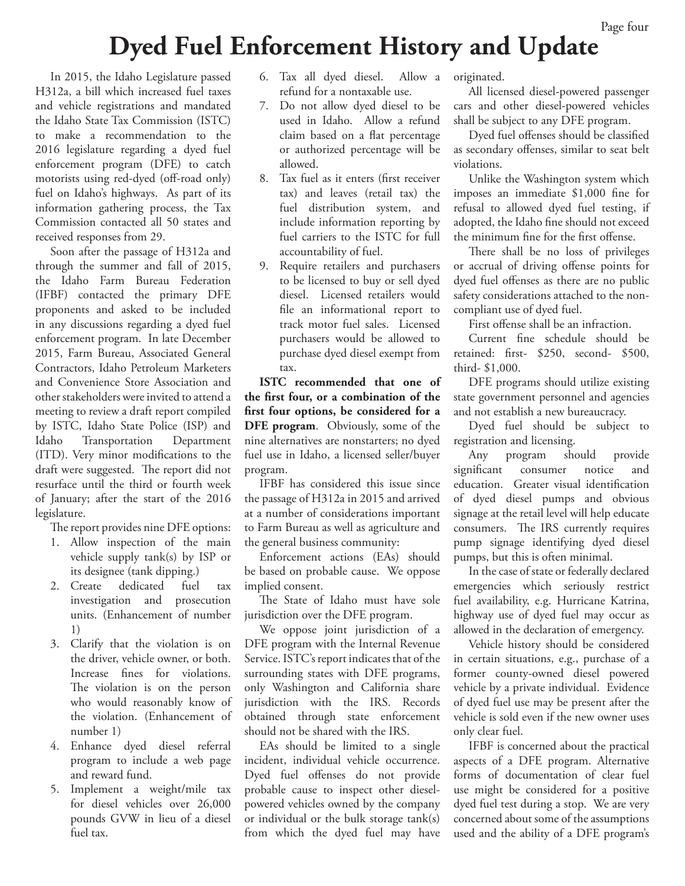#### Page four

### **Dyed Fuel Enforcement History and Update**

In 2015, the Idaho Legislature passed H312a, a bill which increased fuel taxes and vehicle registrations and mandated the Idaho State Tax Commission (ISTC) to make a recommendation to the 2016 legislature regarding a dyed fuel enforcement program (DFE) to catch motorists using red-dyed (off-road only) fuel on Idaho's highways. As part of its information gathering process, the Tax Commission contacted all 50 states and received responses from 29.

Soon after the passage of H312a and through the summer and fall of 2015, the Idaho Farm Bureau Federation (IFBF) contacted the primary DFE proponents and asked to be included in any discussions regarding a dyed fuel enforcement program. In late December 2015, Farm Bureau, Associated General Contractors, Idaho Petroleum Marketers and Convenience Store Association and other stakeholders were invited to attend a meeting to review a draft report compiled by ISTC, Idaho State Police (ISP) and Idaho Transportation Department (ITD). Very minor modifications to the draft were suggested. The report did not resurface until the third or fourth week of January; after the start of the 2016 legislature.

The report provides nine DFE options:

- 1. Allow inspection of the main vehicle supply tank(s) by ISP or its designee (tank dipping.)
- 2. Create dedicated fuel tax investigation and prosecution units. (Enhancement of number 1)
- 3. Clarify that the violation is on the driver, vehicle owner, or both. Increase fines for violations. The violation is on the person who would reasonably know of the violation. (Enhancement of number 1)
- 4. Enhance dyed diesel referral program to include a web page and reward fund.
- 5. Implement a weight/mile tax for diesel vehicles over 26,000 pounds GVW in lieu of a diesel fuel tax.
- 6. Tax all dyed diesel. Allow a refund for a nontaxable use.
- 7. Do not allow dyed diesel to be used in Idaho. Allow a refund claim based on a flat percentage or authorized percentage will be allowed.
- 8. Tax fuel as it enters (first receiver tax) and leaves (retail tax) the fuel distribution system, and include information reporting by fuel carriers to the ISTC for full accountability of fuel.
- 9. Require retailers and purchasers to be licensed to buy or sell dyed diesel. Licensed retailers would file an informational report to track motor fuel sales. Licensed purchasers would be allowed to purchase dyed diesel exempt from tax.

**ISTC recommended that one of the first four, or a combination of the first four options, be considered for a DFE program**. Obviously, some of the nine alternatives are nonstarters; no dyed fuel use in Idaho, a licensed seller/buyer program.

IFBF has considered this issue since the passage of H312a in 2015 and arrived at a number of considerations important to Farm Bureau as well as agriculture and the general business community:

Enforcement actions (EAs) should be based on probable cause. We oppose implied consent.

The State of Idaho must have sole jurisdiction over the DFE program.

We oppose joint jurisdiction of a DFE program with the Internal Revenue Service. ISTC's report indicates that of the surrounding states with DFE programs, only Washington and California share jurisdiction with the IRS. Records obtained through state enforcement should not be shared with the IRS.

EAs should be limited to a single incident, individual vehicle occurrence. Dyed fuel offenses do not provide probable cause to inspect other dieselpowered vehicles owned by the company or individual or the bulk storage tank(s) from which the dyed fuel may have

originated.

All licensed diesel-powered passenger cars and other diesel-powered vehicles shall be subject to any DFE program.

Dyed fuel offenses should be classified as secondary offenses, similar to seat belt violations.

Unlike the Washington system which imposes an immediate \$1,000 fine for refusal to allowed dyed fuel testing, if adopted, the Idaho fine should not exceed the minimum fine for the first offense.

There shall be no loss of privileges or accrual of driving offense points for dyed fuel offenses as there are no public safety considerations attached to the noncompliant use of dyed fuel.

First offense shall be an infraction.

Current fine schedule should be retained: first- \$250, second- \$500, third- \$1,000.

DFE programs should utilize existing state government personnel and agencies and not establish a new bureaucracy.

Dyed fuel should be subject to registration and licensing.

Any program should provide significant consumer notice and education. Greater visual identification of dyed diesel pumps and obvious signage at the retail level will help educate consumers. The IRS currently requires pump signage identifying dyed diesel pumps, but this is often minimal.

In the case of state or federally declared emergencies which seriously restrict fuel availability, e.g. Hurricane Katrina, highway use of dyed fuel may occur as allowed in the declaration of emergency.

Vehicle history should be considered in certain situations, e.g., purchase of a former county-owned diesel powered vehicle by a private individual. Evidence of dyed fuel use may be present after the vehicle is sold even if the new owner uses only clear fuel.

IFBF is concerned about the practical aspects of a DFE program. Alternative forms of documentation of clear fuel use might be considered for a positive dyed fuel test during a stop. We are very concerned about some of the assumptions used and the ability of a DFE program's